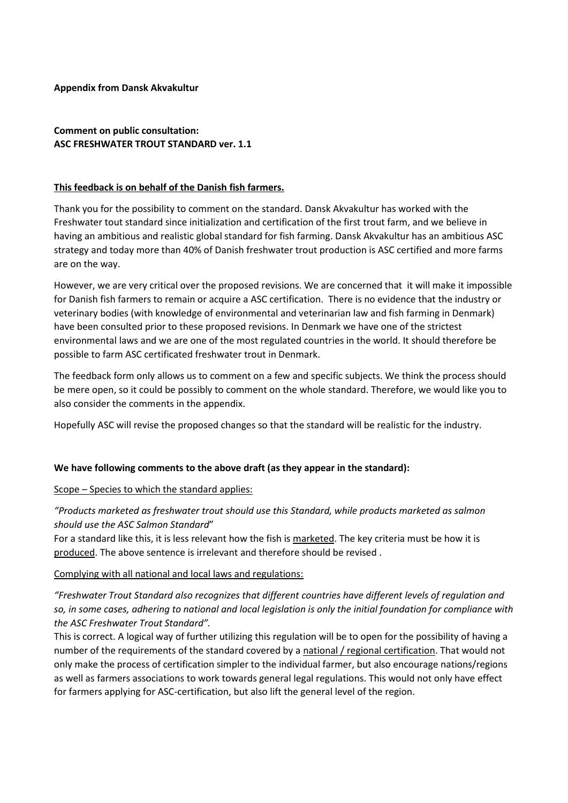#### **Appendix from Dansk Akvakultur**

# **Comment on public consultation: ASC FRESHWATER TROUT STANDARD ver. 1.1**

#### **This feedback is on behalf of the Danish fish farmers.**

Thank you for the possibility to comment on the standard. Dansk Akvakultur has worked with the Freshwater tout standard since initialization and certification of the first trout farm, and we believe in having an ambitious and realistic global standard for fish farming. Dansk Akvakultur has an ambitious ASC strategy and today more than 40% of Danish freshwater trout production is ASC certified and more farms are on the way.

However, we are very critical over the proposed revisions. We are concerned that it will make it impossible for Danish fish farmers to remain or acquire a ASC certification. There is no evidence that the industry or veterinary bodies (with knowledge of environmental and veterinarian law and fish farming in Denmark) have been consulted prior to these proposed revisions. In Denmark we have one of the strictest environmental laws and we are one of the most regulated countries in the world. It should therefore be possible to farm ASC certificated freshwater trout in Denmark.

The feedback form only allows us to comment on a few and specific subjects. We think the process should be mere open, so it could be possibly to comment on the whole standard. Therefore, we would like you to also consider the comments in the appendix.

Hopefully ASC will revise the proposed changes so that the standard will be realistic for the industry.

#### **We have following comments to the above draft (as they appear in the standard):**

Scope – Species to which the standard applies:

# *"Products marketed as freshwater trout should use this Standard, while products marketed as salmon should use the ASC Salmon Standard*"

For a standard like this, it is less relevant how the fish is marketed. The key criteria must be how it is produced. The above sentence is irrelevant and therefore should be revised .

#### Complying with all national and local laws and regulations:

*"Freshwater Trout Standard also recognizes that different countries have different levels of regulation and so, in some cases, adhering to national and local legislation is only the initial foundation for compliance with the ASC Freshwater Trout Standard".*

This is correct. A logical way of further utilizing this regulation will be to open for the possibility of having a number of the requirements of the standard covered by a national / regional certification. That would not only make the process of certification simpler to the individual farmer, but also encourage nations/regions as well as farmers associations to work towards general legal regulations. This would not only have effect for farmers applying for ASC-certification, but also lift the general level of the region.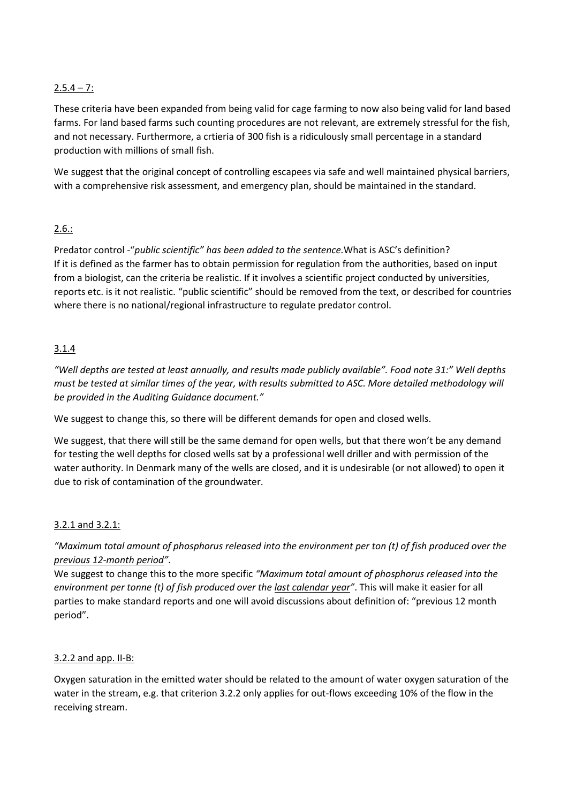# $2.5.4 - 7:$

These criteria have been expanded from being valid for cage farming to now also being valid for land based farms. For land based farms such counting procedures are not relevant, are extremely stressful for the fish, and not necessary. Furthermore, a crtieria of 300 fish is a ridiculously small percentage in a standard production with millions of small fish.

We suggest that the original concept of controlling escapees via safe and well maintained physical barriers, with a comprehensive risk assessment, and emergency plan, should be maintained in the standard.

# 2.6.:

Predator control -"*public scientific" has been added to the sentence.*What is ASC's definition? If it is defined as the farmer has to obtain permission for regulation from the authorities, based on input from a biologist, can the criteria be realistic. If it involves a scientific project conducted by universities, reports etc. is it not realistic. "public scientific" should be removed from the text, or described for countries where there is no national/regional infrastructure to regulate predator control.

# 3.1.4

*"Well depths are tested at least annually, and results made publicly available". Food note 31:" Well depths must be tested at similar times of the year, with results submitted to ASC. More detailed methodology will be provided in the Auditing Guidance document."*

We suggest to change this, so there will be different demands for open and closed wells.

We suggest, that there will still be the same demand for open wells, but that there won't be any demand for testing the well depths for closed wells sat by a professional well driller and with permission of the water authority. In Denmark many of the wells are closed, and it is undesirable (or not allowed) to open it due to risk of contamination of the groundwater.

## 3.2.1 and 3.2.1:

*"Maximum total amount of phosphorus released into the environment per ton (t) of fish produced over the previous 12-month period"*.

We suggest to change this to the more specific *"Maximum total amount of phosphorus released into the environment per tonne (t) of fish produced over the last calendar year"*. This will make it easier for all parties to make standard reports and one will avoid discussions about definition of: "previous 12 month period".

## 3.2.2 and app. II-B:

Oxygen saturation in the emitted water should be related to the amount of water oxygen saturation of the water in the stream, e.g. that criterion 3.2.2 only applies for out-flows exceeding 10% of the flow in the receiving stream.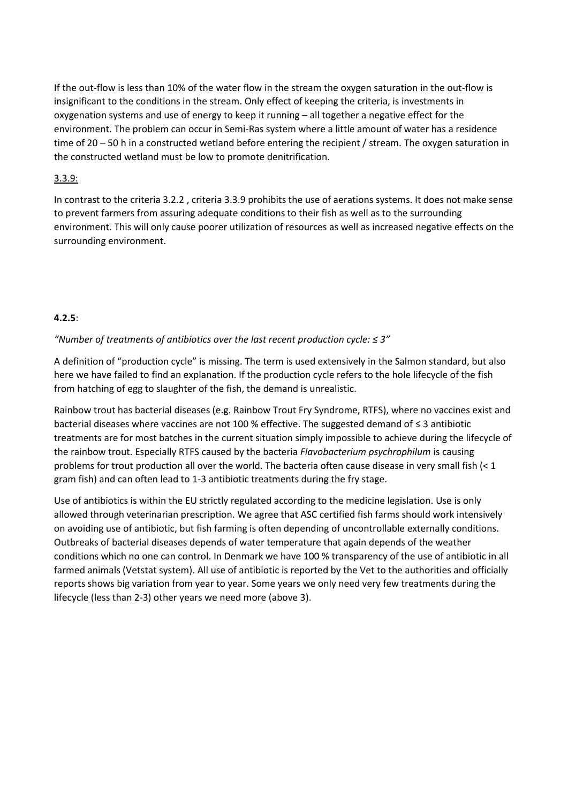If the out-flow is less than 10% of the water flow in the stream the oxygen saturation in the out-flow is insignificant to the conditions in the stream. Only effect of keeping the criteria, is investments in oxygenation systems and use of energy to keep it running – all together a negative effect for the environment. The problem can occur in Semi-Ras system where a little amount of water has a residence time of 20 – 50 h in a constructed wetland before entering the recipient / stream. The oxygen saturation in the constructed wetland must be low to promote denitrification.

## 3.3.9:

In contrast to the criteria 3.2.2 , criteria 3.3.9 prohibits the use of aerations systems. It does not make sense to prevent farmers from assuring adequate conditions to their fish as well as to the surrounding environment. This will only cause poorer utilization of resources as well as increased negative effects on the surrounding environment.

## **4.2.5**:

## *"Number of treatments of antibiotics over the last recent production cycle: ≤ 3"*

A definition of "production cycle" is missing. The term is used extensively in the Salmon standard, but also here we have failed to find an explanation. If the production cycle refers to the hole lifecycle of the fish from hatching of egg to slaughter of the fish, the demand is unrealistic.

Rainbow trout has bacterial diseases (e.g. Rainbow Trout Fry Syndrome, RTFS), where no vaccines exist and bacterial diseases where vaccines are not 100 % effective. The suggested demand of ≤ 3 antibiotic treatments are for most batches in the current situation simply impossible to achieve during the lifecycle of the rainbow trout. Especially RTFS caused by the bacteria *Flavobacterium psychrophilum* is causing problems for trout production all over the world. The bacteria often cause disease in very small fish (< 1 gram fish) and can often lead to 1-3 antibiotic treatments during the fry stage.

Use of antibiotics is within the EU strictly regulated according to the medicine legislation. Use is only allowed through veterinarian prescription. We agree that ASC certified fish farms should work intensively on avoiding use of antibiotic, but fish farming is often depending of uncontrollable externally conditions. Outbreaks of bacterial diseases depends of water temperature that again depends of the weather conditions which no one can control. In Denmark we have 100 % transparency of the use of antibiotic in all farmed animals (Vetstat system). All use of antibiotic is reported by the Vet to the authorities and officially reports shows big variation from year to year. Some years we only need very few treatments during the lifecycle (less than 2-3) other years we need more (above 3).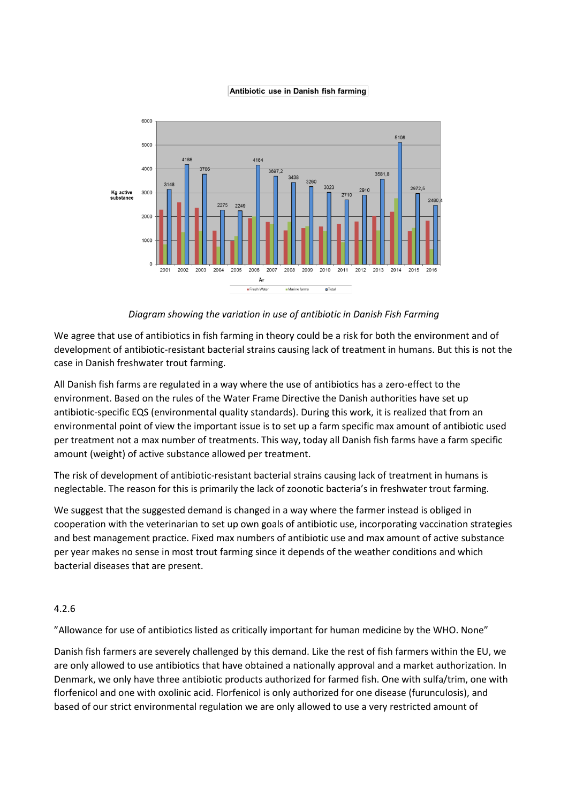#### Antibiotic use in Danish fish farming



*Diagram showing the variation in use of antibiotic in Danish Fish Farming*

We agree that use of antibiotics in fish farming in theory could be a risk for both the environment and of development of antibiotic-resistant bacterial strains causing lack of treatment in humans. But this is not the case in Danish freshwater trout farming.

All Danish fish farms are regulated in a way where the use of antibiotics has a zero-effect to the environment. Based on the rules of the Water Frame Directive the Danish authorities have set up antibiotic-specific EQS (environmental quality standards). During this work, it is realized that from an environmental point of view the important issue is to set up a farm specific max amount of antibiotic used per treatment not a max number of treatments. This way, today all Danish fish farms have a farm specific amount (weight) of active substance allowed per treatment.

The risk of development of antibiotic-resistant bacterial strains causing lack of treatment in humans is neglectable. The reason for this is primarily the lack of zoonotic bacteria's in freshwater trout farming.

We suggest that the suggested demand is changed in a way where the farmer instead is obliged in cooperation with the veterinarian to set up own goals of antibiotic use, incorporating vaccination strategies and best management practice. Fixed max numbers of antibiotic use and max amount of active substance per year makes no sense in most trout farming since it depends of the weather conditions and which bacterial diseases that are present.

## 4.2.6

"Allowance for use of antibiotics listed as critically important for human medicine by the WHO. None"

Danish fish farmers are severely challenged by this demand. Like the rest of fish farmers within the EU, we are only allowed to use antibiotics that have obtained a nationally approval and a market authorization. In Denmark, we only have three antibiotic products authorized for farmed fish. One with sulfa/trim, one with florfenicol and one with oxolinic acid. Florfenicol is only authorized for one disease (furunculosis), and based of our strict environmental regulation we are only allowed to use a very restricted amount of